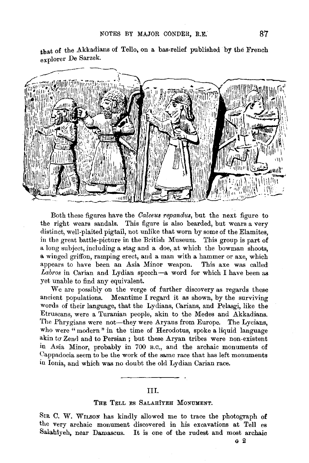that of the Akkadians of Tello, on a bas-relief published by the French explorer De Sarzek.



Both these figures have the *Calceus repandus,* but the next figure to the right wears sandals. This figure is also bearded, but wears a very distinct, well-plaited pigtail, not unlike that worn by some of the Elamites, in the great battle-picture in the British Museum. This group is part of a long subject, including a stag and a doe, at which the bowman shoots, a winged griffon, ramping erect, and a man with a hammer or axe, which appears to have been an Asia Minor weapon. This axe was called *Labros* in Carian and Lydian speech-a word for which I have been as yet unable to find any equivalent.

We are possibly on the verge of further discovery as regards these ancient populations. Meantime I regard it as shown, by the surviving words of their language, that the Lydians, Carians, and Pelasgi, like the Etruscans, were a Turanian people, akin to the Medes and Akkadians. The Phrygians were not-they were Aryans from Europe. The Lycians, who were " modern" in the time of Herodotus, spoke a liquid language akin to Zend and to Persian ; but these Aryan tribes were non-existent in Asia Minor, probably in 700 B.o., and the archaic monuments of Cappadocia seem to be the work of the same race that has left monuments in Ionia, and which was no doubt the old Lydian Carian race.

## Ill.

## THE TELL ES SALAHÎYEH MONUMENT.

SIR C. W. WILSON has kindly allowed me to trace the photograph of the very archaic monument discovered in his excavations at Tell es Salahiyeh, near Damascus. It is one of the rudest and most archaic

G 2